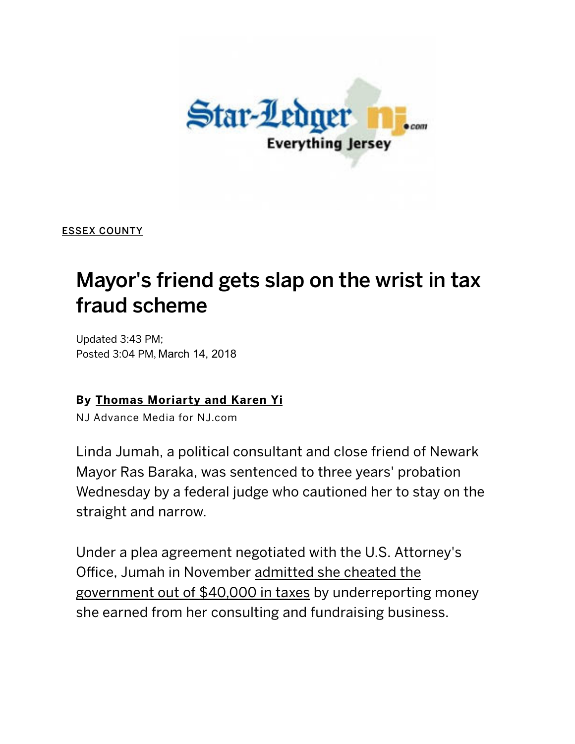

[ESSEX COUNTY](http://www.nj.com/essex/index.ssf/)

## Mayor's friend gets slap on the wrist in tax fraud scheme

Updated 3:43 PM; Posted 3:04 PM, March 14, 2018

## By [Thomas Moriarty](http://connect.nj.com/staff/moriartyyi/posts.html)  and Karen Yi

NJ Advance Media for NJ.com

Linda Jumah, a political consultant and close friend of Newark Mayor Ras Baraka, was sentenced to three years' probation Wednesday by a federal judge who cautioned her to stay on the straight and narrow.

Under a plea agreement negotiated with the U.S. Attorney's Office, Jumah in November admitted she cheated the government out of \$40,000 in taxes by underreporting money she earned from her consulting and fundraising business.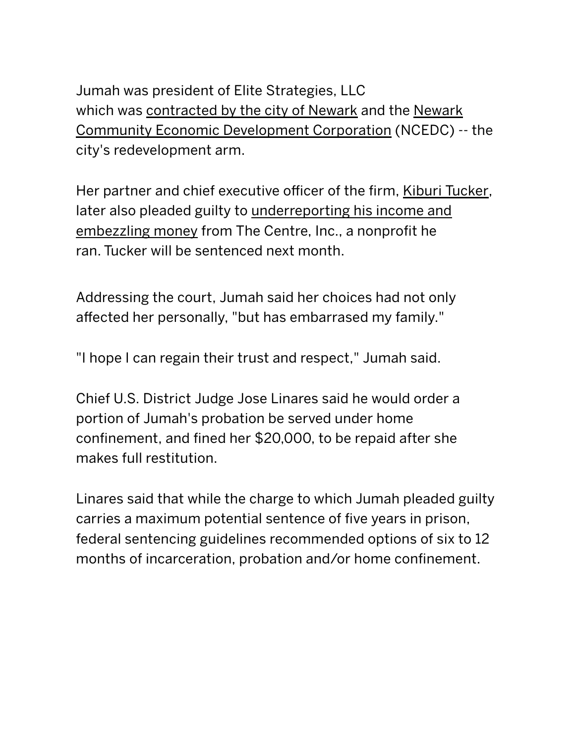[Jumah was president of Elite Strategies, LLC](http://www.newarkcedc.org/) which was [contracted by the city of Newark](http://www.nj.com/essex/index.ssf/2017/11/city_paid_26500_to_consultants_who_admitted_to_tax.html) and the Newark Community Economic Development Corporation (NCEDC) ‑‑ the [city](http://www.nj.com/essex/index.ssf/2017/11/son_of_newark_kiburi_tucker_pleads_guilty_in_feder.html)'[s redevelopment arm.](http://www.nj.com/essex/index.ssf/2017/11/son_of_newark_kiburi_tucker_pleads_guilty_in_feder.html)

Her partner and chief executive officer of the firm, [Kiburi Tucker,](http://www.nj.com/essex/index.ssf/2017/11/city_to_move_forward_with_south_ward_apartments_af.html) later also pleaded guilty to underreporting his income and embezzling money from The Centre, Inc., a nonprofit he ran. Tucker will be sentenced next month.

Addressing the c[ourt, Jumah said her choices h](https://googleads.g.doubleclick.net/pcs/click?xai=AKAOjstXaSrCOuEd1oB-Nu6sKg-aMfuMj4umPSv2zVq35OKZqSgTeI6TDS_40RW44HajBssnDnWhatKpnUJxScIFRIaD5TBWf0O4aWOTcaeTvhrx6oCDe_tIVlOx3dirHhd5tLXA8FjJQ1BO9zTtRLnHenkEWE6I-V3YiFQexEfFLNG2AHAghzBhG8p_nyxiko8intnDPvbO-MqKL3g1M936ykOC8xDc6VmUa9tsf2lhj1TPUN-mOu4A0fCuyextrA&sig=Cg0ArKJSzPR7la81n-PL&adurl=https://www.acmemarkets.com/%3Futm_source%3Dnjam%26utm_medium%3Ddisplay%26utm_campaign%3Dnj_imps%26utm_content%3Dsave3)ad not only affected her personally, "but has embarrased my family."

"I hope I can regain their trust and respect," Jumah said.

Chief U.S. District Judge Jose Linares said he would order a portion of Jumah's probation be served under home confinement, and fined her \$20,000, to be repaid after she makes full restitution.

Linares said that while the charge to which Jumah pleaded guilty carries a maximum potential sentence of five years in prison, federal sentencing guidelines recommended options of six to 12 months of incarceration, probation and/or home confinement.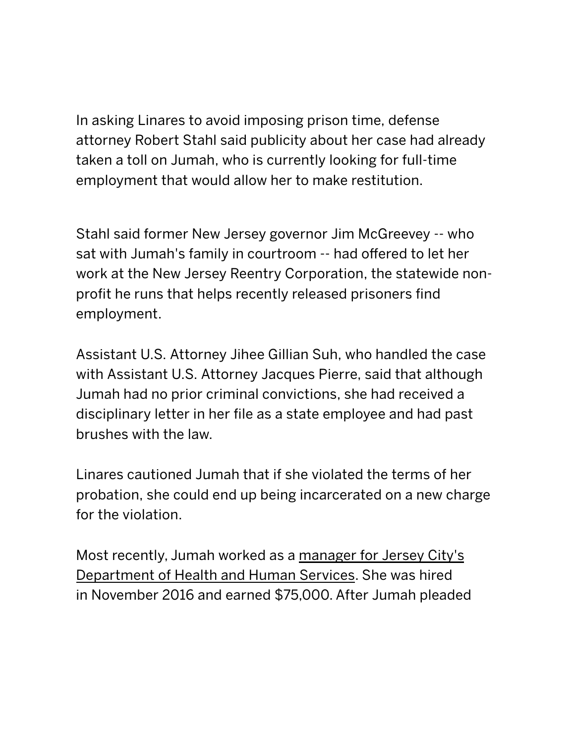In asking Linares to avoid imposing prison time, defense attorney Robert Stahl said publicity about her case had already taken a toll on Jumah, who is currently looking for full-time employment that would allow her to make restitution.

Stahl said former New Jersey governor Jim McGreevey -- who sat with Jumah's family in courtroom -- had offered to let her work at the New [Jersey Reentry Corporation, th](http://googleads.g.doubleclick.net/pcs/click?xai=AKAOjstlzwvbFBAkp1kvsO4BVAHxWHRmDBCdBcQFatWW8t-V88OPaeF00evRDrEsuYcFNEGLX-aIpws6nIQg38pvdzYyY7vaRW5QnSrdwoUJkkPk0B3IFMD-Gp6hd04NRBvAU4aEJA-8s1oXqbdzvztjd1DNsR0Bs5k0jtUFimw8hYUHcbFkMK71tUXPMybGy7Z-slZpexfV6rMmYdJlH6Li-lt-5vQ5sPf4SCKISJE5udbEUB7dlM2wjeT6pLNeRg&sig=Cg0ArKJSzITA-aycvyc3&adurl=http://www.hackensackumc.org/services/cancer-care/mark/%3Futm_source%3Dnj.com%26utm_medium%3Ddisplay%26utm_campaign%3Djtcc_patientstories%26utm_content%3Dmark_html_300x250&nm=3)e statewide nonprofit he runs that helps recently released prisoners find employment.

Assistant U.S. Attorney Jihee Gillian Suh, who handled the case with Assistant U.S. Attorney Jacques Pierre, said that although Jumah had no prior criminal convictions, she had received a disciplinary letter in her file as a state employee and had past brushes with the law.

Linares cautioned Jumah that if she violated the terms of her probation, she could end up being incarcerated on a new charge for the violation.

Most recently, Jumah worked as a manager for Jersey City's Department of Health and Human Services. She was hired in November 2016 and earned \$75,000. After Jumah pleaded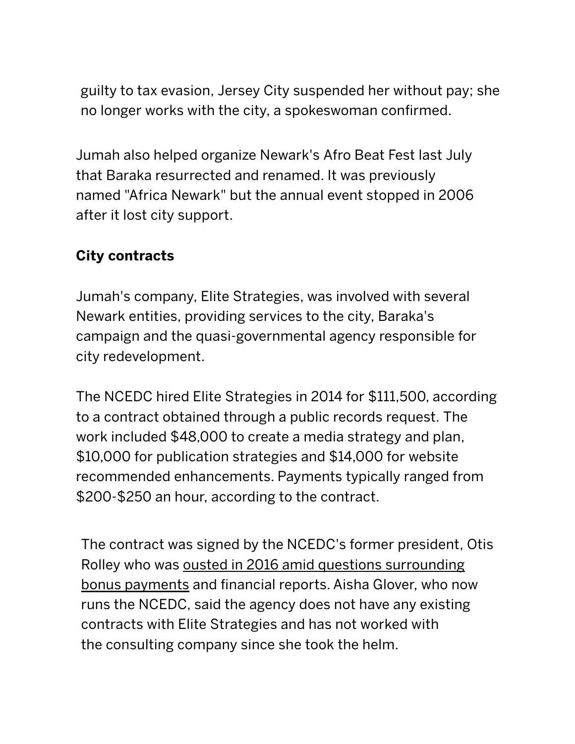guilty to tax evasion, Jersey City suspended her without pay; she no longer wo[rks with the city, a spokeswoman confi](http://www.nj.com/sponsor-content/?scid=126924&prx_t=SWUDAU54aAOmcQA&ntv_fr)rmed.

Jumah also helped organize Newark's Afro Beat Fest last July that Baraka resurrected and renamed. It was previously named "Africa Newark" but the annual event stopped in 2006 after it lost city support.

## City contracts

Jumah's company, Elite Strategies, was involved with several Newark entities, providing services to the city, Baraka's campaign and the quasi‑governmental agency responsible for city redevelopment.

The NCEDC hired Elite Strategies in 2014 for \$111,500, according to a contract obtained through a public records request. The work included \$48,000 to create a media strategy and plan, \$10,000 for publication strategies and \$14,000 for website recommended enhancements. Payments typically ranged from \$200‑\$250 an hour, according to the contract.

The contract was signed by the NCEDC's former president, Otis Rolley who was ousted in 2016 amid questions surrounding bonus payments and financial reports. Aisha Glover, who now runs the NCEDC, said the agency does not have any existing contracts with Elite Strategies and has not worked with the consulting company since she took the helm.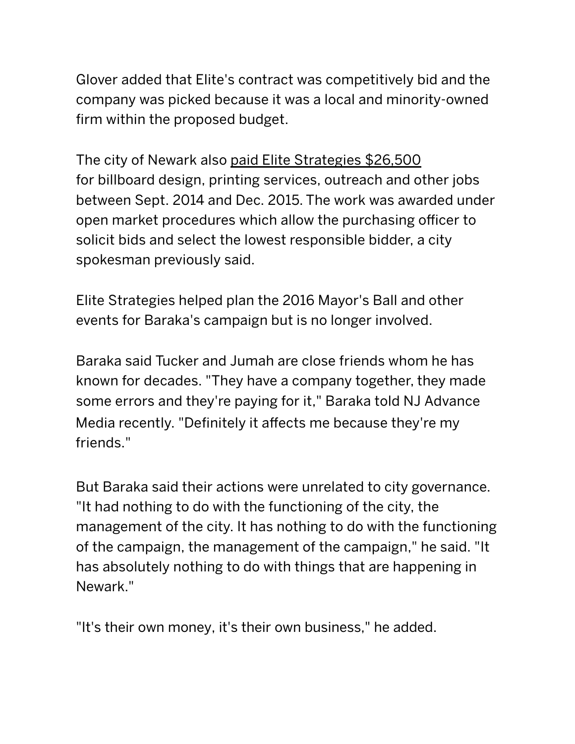[Glover added that Elite's contract was competitively bid and](http://www.nj.com/essex/index.ssf/2016/03/ousted_newark_development_chief_confronts_city_cou.html) the company was picked because it was a local and minority‑owned firm within the proposed budget.

The city of Newark also [paid Elite Strategies \\$26,500](http://www.nj.com/essex/index.ssf/2017/11/city_paid_26500_to_consultants_who_admitted_to_tax.html) for billboard design, printing services, outreach and other jobs between Sept. 2014 [and Dec. 2015. The wor](https://googleads.g.doubleclick.net/aclk?sa=L&ai=CwYawwOSpWoGVOYfxogb52IOoCeT10eNQldn32t0G3tkeEAEgt8jTRygCYMn-94q0pNgPyAEB4AIAqAMByAOaBKoEgwJP0PPio5oMYSlwJNy2-xE_PotuQb9nZAKWFwxzpvsqtJU7hcMWSfttDGVaNkniW3yWvGwFUFozIQPqytD6ZIJOVYkaajX3xK-El6lFzawPUHeJas7OywQUh-ST7Ct9uSpx9AbG0LIPxnQ8wqoShL_IWHSC0PTjZi9zEmz22wGojwd47kg2CWoisqEcELUHwjKkV5J-SerIUIxg53-ufZSSi44uXsNMMAgi9JyP7mY7GgV4GVk9UseEm3TzWvDahZckm-KgqBzc9bvxocoAXuzzbwuUvVoCGCMMEKFIjhIHyguhlinMHBm01Q-sbbMqRbCROZYqf1Gp0fz5bS3o4XBNhMbp4AQBoAZRgAea3r92qAemvhvYBwHSCAcIgAEQARgBsQlLcJQdxVOr4YAKA9gTAg&num=1&sig=AOD64_3GCiGHmPDy48wDDvjGy_-pmHI7Ng&client=ca-pub-2937494567949278&adurl=http://pleaseelite4.com/through6/%3Fa%3DUS1ny14-dt%26m%3Dwww.nj.com%26url%3Dhttps://play.google.com/store/books/details/Karen_Kingsbury_Leaving%253Fid%253Dfa8Ilo7DVW4C)k was awarded under open market procedures which allow the purchasing officer to solicit bids and select the lowest responsi[ble b](https://googleads.g.doubleclick.net/aclk?sa=L&ai=CwYawwOSpWoGVOYfxogb52IOoCeT10eNQldn32t0G3tkeEAEgt8jTRygCYMn-94q0pNgPyAEB4AIAqAMByAOaBKoEgwJP0PPio5oMYSlwJNy2-xE_PotuQb9nZAKWFwxzpvsqtJU7hcMWSfttDGVaNkniW3yWvGwFUFozIQPqytD6ZIJOVYkaajX3xK-El6lFzawPUHeJas7OywQUh-ST7Ct9uSpx9AbG0LIPxnQ8wqoShL_IWHSC0PTjZi9zEmz22wGojwd47kg2CWoisqEcELUHwjKkV5J-SerIUIxg53-ufZSSi44uXsNMMAgi9JyP7mY7GgV4GVk9UseEm3TzWvDahZckm-KgqBzc9bvxocoAXuzzbwuUvVoCGCMMEKFIjhIHyguhlinMHBm01Q-sbbMqRbCROZYqf1Gp0fz5bS3o4XBNhMbp4AQBoAZRgAea3r92qAemvhvYBwHSCAcIgAEQARgBsQlLcJQdxVOr4YAKA9gTAg&num=1&sig=AOD64_3GCiGHmPDy48wDDvjGy_-pmHI7Ng&client=ca-pub-2937494567949278&adurl=http://pleaseelite4.com/through6/%3Fa%3DUS1ny14-dt%26m%3Dwww.nj.com%26url%3Dhttps://play.google.com/store/books/details/Karen_Kingsbury_Leaving%253Fid%253Dfa8Ilo7DVW4C)idder, a city spokesman previously said.

Elite Strategies help[ed plan the 2016 Ma](https://googleads.g.doubleclick.net/aclk?sa=L&ai=CO9kNwOSpWoGVOYfxogb52IOoCZi-37pP_-fRn8ECwL2ItAMQAiC3yNNHKAJgyf73irSk2A_IAQHgAgCoAwHIA5oEqgSCAk_Q84Sqmg9hKXAk3Lb7ET8-i25Bv2dkApYXDHOm-yq0lTuFwxZJ-20MZVo2SeJbfJa8bAVQWjMhA-rK0Ppkgk5ViRpqNffEr4SXqUXNrA9Qd4lqzs7LBBSH5JPsK325KnH0BsbQsg_GdDzCqhKEv8hYdILQ9ONmL3MSbPbbAaiPB3juSDYJaiKyoRwQtQfUNoH_eZZB2MRcg2Hida5wkjAYbc3FWK_T48lUFU0Fo_r17uaNuNaRAmlw31isBtuHl2AqFIOJnVwATfJhCgijGrAvDZJIrAEQKwzlV0uKFgc__aKWKcjQ1bEG2Kt_o8qjYbAeCryYwKbMcj6oJapDGKpUzOAEAYAH37PJQKgHpr4b2AcB0ggHCIABEAEYAbEJ9gANtS-NciiACgPYEwI&num=2&sig=AOD64_2nP70ELfoAL5SLKiZHlCbtmw5ELA&client=ca-pub-2937494567949278&adurl=http://www.endofelm.com/brunch-morristown-end-of-elm/)y[or's](https://googleads.g.doubleclick.net/aclk?sa=L&ai=CO9kNwOSpWoGVOYfxogb52IOoCZi-37pP_-fRn8ECwL2ItAMQAiC3yNNHKAJgyf73irSk2A_IAQHgAgCoAwHIA5oEqgSCAk_Q84Sqmg9hKXAk3Lb7ET8-i25Bv2dkApYXDHOm-yq0lTuFwxZJ-20MZVo2SeJbfJa8bAVQWjMhA-rK0Ppkgk5ViRpqNffEr4SXqUXNrA9Qd4lqzs7LBBSH5JPsK325KnH0BsbQsg_GdDzCqhKEv8hYdILQ9ONmL3MSbPbbAaiPB3juSDYJaiKyoRwQtQfUNoH_eZZB2MRcg2Hida5wkjAYbc3FWK_T48lUFU0Fo_r17uaNuNaRAmlw31isBtuHl2AqFIOJnVwATfJhCgijGrAvDZJIrAEQKwzlV0uKFgc__aKWKcjQ1bEG2Kt_o8qjYbAeCryYwKbMcj6oJapDGKpUzOAEAYAH37PJQKgHpr4b2AcB0ggHCIABEAEYAbEJ9gANtS-NciiACgPYEwI&num=2&sig=AOD64_2nP70ELfoAL5SLKiZHlCbtmw5ELA&client=ca-pub-2937494567949278&adurl=http://www.endofelm.com/brunch-morristown-end-of-elm/) Ball and other events for Baraka's campaign but is no longer involved.

Baraka said Tucker and Jumah are close friends whom he has known for decades. "They have a company together, they made some errors and they're paying for it," Baraka told NJ Advance Media recently. "Definitely it affects me because they're my friends."

But Baraka said their actions were unrelated to city governance. "It had nothing to do with the functioning of the city, the management of the city. It has nothing to do with the functioning of the campaign, the management of the campaign," he said. "It has absolutely nothing to do with things that are happening in Newark."

"It's their own money, it's their own business," he added.